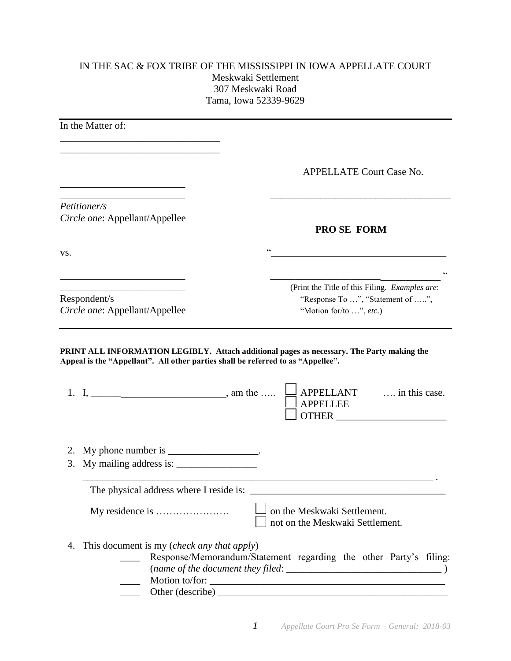## IN THE SAC & FOX TRIBE OF THE MISSISSIPPI IN IOWA APPELLATE COURT Meskwaki Settlement 307 Meskwaki Road Tama, Iowa 52339-9629

| In the Matter of:                                                                                                            |                                                                                                               |
|------------------------------------------------------------------------------------------------------------------------------|---------------------------------------------------------------------------------------------------------------|
|                                                                                                                              | <b>APPELLATE Court Case No.</b>                                                                               |
| Petitioner/s<br>Circle one: Appellant/Appellee                                                                               | <b>PRO SE FORM</b>                                                                                            |
| VS.                                                                                                                          | $\zeta$ $\zeta$                                                                                               |
| the control of the control of the control of the control of the control of<br>Respondent/s<br>Circle one: Appellant/Appellee | (Print the Title of this Filing. Examples are:<br>"Response To ", "Statement of ",<br>"Motion for/to ", etc.) |
| Appeal is the "Appellant". All other parties shall be referred to as "Appellee".                                             | PRINT ALL INFORMATION LEGIBLY. Attach additional pages as necessary. The Party making the                     |
| 2. My phone number is ___________________.                                                                                   |                                                                                                               |
| The physical address where I reside is:                                                                                      |                                                                                                               |
|                                                                                                                              | on the Meskwaki Settlement.                                                                                   |
|                                                                                                                              | not on the Meskwaki Settlement.                                                                               |

\_\_\_\_ Other (describe) \_\_\_\_\_\_\_\_\_\_\_\_\_\_\_\_\_\_\_\_\_\_\_\_\_\_\_\_\_\_\_\_\_\_\_\_\_\_\_\_\_\_\_\_\_\_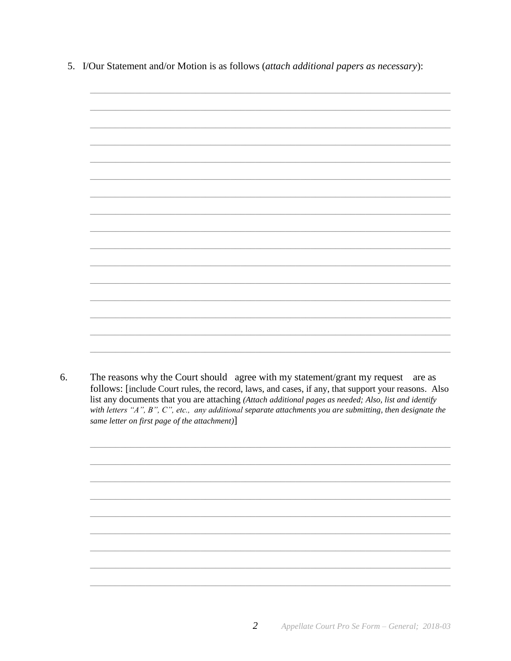5. I/Our Statement and/or Motion is as follows (attach additional papers as necessary):



6. The reasons why the Court should agree with my statement/grant my request are as follows: [include Court rules, the record, laws, and cases, if any, that support your reasons. Also list any documents that you are attaching (Attach additional pages as needed; Also, list and identify with letters "A", B", C", etc., any additional separate attachments you are submitting, then designate the same letter on first page of the attachment)]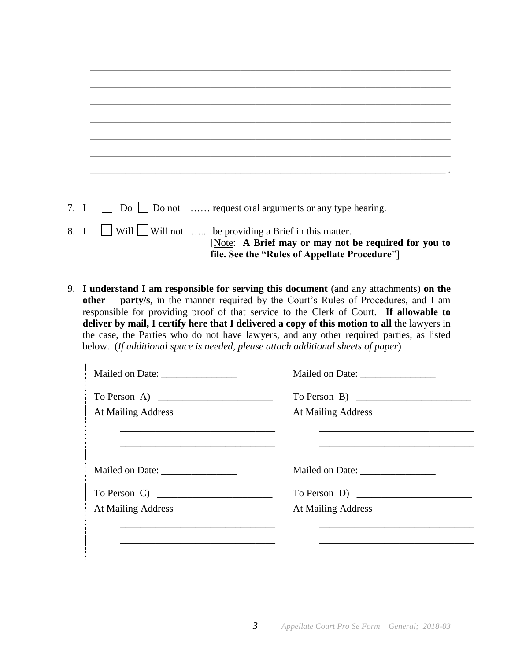|      | 7. I $\Box$ Do $\Box$ Do not  request oral arguments or any type hearing. |
|------|---------------------------------------------------------------------------|
| ____ |                                                                           |

- 8. I  $\Box$  Will  $\Box$  Will not ..... be providing a Brief in this matter. [Note: **A Brief may or may not be required for you to file. See the "Rules of Appellate Procedure**"]
- 9. **I understand I am responsible for serving this document** (and any attachments) **on the other party/s**, in the manner required by the Court's Rules of Procedures, and I am responsible for providing proof of that service to the Clerk of Court. **If allowable to deliver by mail, I certify here that I delivered a copy of this motion to all** the lawyers in the case, the Parties who do not have lawyers, and any other required parties, as listed below. (*If additional space is needed, please attach additional sheets of paper*)

| To Person A) $\overline{\qquad \qquad }$ | To Person B)       |
|------------------------------------------|--------------------|
| At Mailing Address                       | At Mailing Address |
|                                          |                    |
| To Person C)                             | To Person D)       |
| At Mailing Address                       | At Mailing Address |